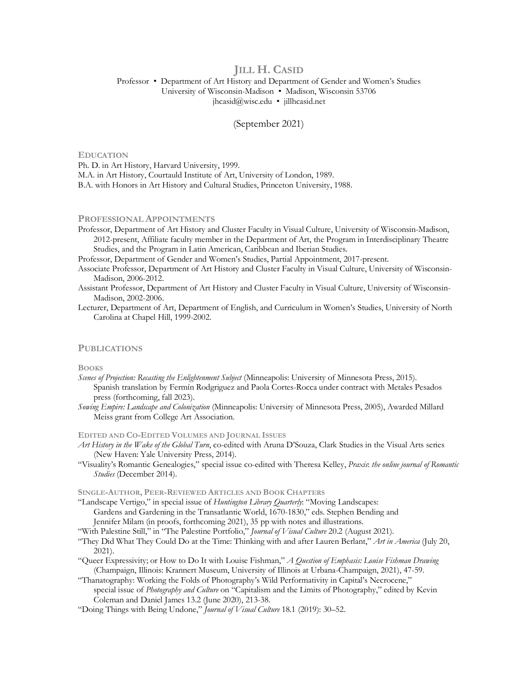# **JILL H. CASID**

# Professor • Department of Art History and Department of Gender and Women's Studies University of Wisconsin-Madison • Madison, Wisconsin 53706 jhcasid@wisc.edu • jillhcasid.net

# (September 2021)

### **EDUCATION**

Ph. D. in Art History, Harvard University, 1999. M.A. in Art History, Courtauld Institute of Art, University of London, 1989. B.A. with Honors in Art History and Cultural Studies, Princeton University, 1988.

### **PROFESSIONAL APPOINTMENTS**

Professor, Department of Art History and Cluster Faculty in Visual Culture, University of Wisconsin-Madison, 2012-present, Affiliate faculty member in the Department of Art, the Program in Interdisciplinary Theatre Studies, and the Program in Latin American, Caribbean and Iberian Studies.

Professor, Department of Gender and Women's Studies, Partial Appointment, 2017-present.

- Associate Professor, Department of Art History and Cluster Faculty in Visual Culture, University of Wisconsin-Madison, 2006-2012.
- Assistant Professor, Department of Art History and Cluster Faculty in Visual Culture, University of Wisconsin-Madison, 2002-2006.
- Lecturer, Department of Art, Department of English, and Curriculum in Women's Studies, University of North Carolina at Chapel Hill, 1999-2002.

# **PUBLICATIONS**

#### **BOOKS**

- *Scenes of Projection: Recasting the Enlightenment Subject* (Minneapolis: University of Minnesota Press, 2015). Spanish translation by Fermín Rodgriguez and Paola Cortes-Rocca under contract with Metales Pesados press (forthcoming, fall 2023).
- *Sowing Empire: Landscape and Colonization* (Minneapolis: University of Minnesota Press, 2005), Awarded Millard Meiss grant from College Art Association.

#### **EDITED AND CO-EDITED VOLUMES AND JOURNAL ISSUES**

- *Art History in the Wake of the Global Turn*, co-edited with Aruna D'Souza, Clark Studies in the Visual Arts series (New Haven: Yale University Press, 2014).
- "Visuality's Romantic Genealogies," special issue co-edited with Theresa Kelley, *Praxis*: *the online journal of Romantic Studies* (December 2014).

**SINGLE-AUTHOR, PEER-REVIEWED ARTICLES AND BOOK CHAPTERS**

"Landscape Vertigo," in special issue of *Huntington Library Quarterly*: "Moving Landscapes: Gardens and Gardening in the Transatlantic World, 1670-1830," eds. Stephen Bending and Jennifer Milam (in proofs, forthcoming 2021), 35 pp with notes and illustrations.

"With Palestine Still," in "The Palestine Portfolio," *Journal of Visual Culture* 20.2 (August 2021).

- "They Did What They Could Do at the Time: Thinking with and after Lauren Berlant," *Art in America* (July 20, 2021).
- "Queer Expressivity; or How to Do It with Louise Fishman," *A Question of Emphasis: Louise Fishman Drawing* (Champaign, Illinois: Krannert Museum, University of Illinois at Urbana-Champaign, 2021), 47-59.
- "Thanatography: Working the Folds of Photography's Wild Performativity in Capital's Necrocene," special issue of *Photography and Culture* on "Capitalism and the Limits of Photography," edited by Kevin Coleman and Daniel James 13.2 (June 2020), 213-38.
- "Doing Things with Being Undone," *Journal of Visual Culture* 18.1 (2019): 30–52.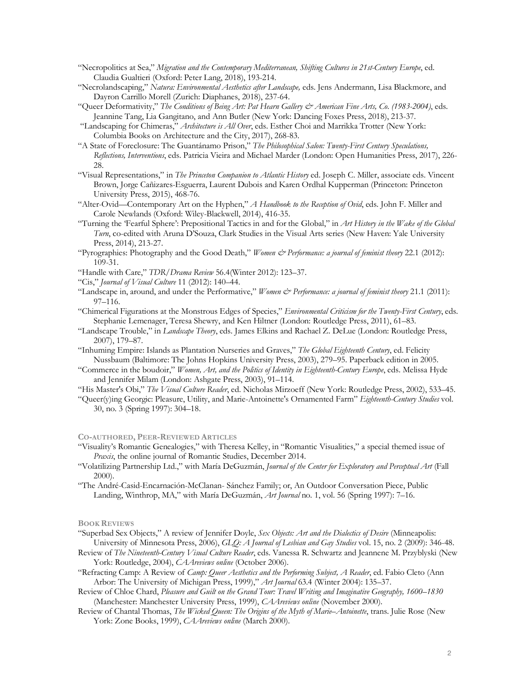- "Necropolitics at Sea," *Migration and the Contemporary Mediterranean, Shifting Cultures in 21st-Century Europe*, ed. Claudia Gualtieri (Oxford: Peter Lang, 2018), 193-214.
- "Necrolandscaping," *Natura: Environmental Aesthetics after Landscape,* eds. Jens Andermann, Lisa Blackmore, and Dayron Carrillo Morell (Zurich: Diaphanes, 2018), 237-64.
- "Queer Deformativity," *The Conditions of Being Art: Pat Hearn Gallery & American Fine Arts, Co. (1983-2004)*, eds. Jeannine Tang, Lia Gangitano, and Ann Butler (New York: Dancing Foxes Press, 2018), 213-37.
- "Landscaping for Chimeras," *Architecture is All Over*, eds. Esther Choi and Marrikka Trotter (New York: Columbia Books on Architecture and the City, 2017), 268-83.
- "A State of Foreclosure: The Guantánamo Prison," *The Philosophical Salon: Twenty-First Century Speculations, Reflections, Interventions*, eds. Patricia Vieira and Michael Marder (London: Open Humanities Press, 2017), 226- 28.
- "Visual Representations," in *The Princeton Companion to Atlantic History* ed. Joseph C. Miller, associate eds. Vincent Brown, Jorge Cañizares-Esguerra, Laurent Dubois and Karen Ordhal Kupperman (Princeton: Princeton University Press, 2015), 468-76.
- "Alter-Ovid—Contemporary Art on the Hyphen," *A Handbook to the Reception of Ovid*, eds. John F. Miller and Carole Newlands (Oxford: Wiley-Blackwell, 2014), 416-35.
- "Turning the 'Fearful Sphere': Prepositional Tactics in and for the Global," in *Art History in the Wake of the Global Turn*, co-edited with Aruna D'Souza, Clark Studies in the Visual Arts series (New Haven: Yale University Press, 2014), 213-27.
- "Pyrographies: Photography and the Good Death," *Women & Performance: a journal of feminist theory* 22.1 (2012): 109-31.
- "Handle with Care," *TDR/Drama Review* 56.4(Winter 2012): 123–37.
- "Cis," *Journal of Visual Culture* 11 (2012): 140–44.
- "Landscape in, around, and under the Performative," *Women & Performance: a journal of feminist theory* 21.1 (2011): 97–116.
- "Chimerical Figurations at the Monstrous Edges of Species," *Environmental Criticism for the Twenty-First Century*, eds. Stephanie Lemenager, Teresa Shewry, and Ken Hiltner (London: Routledge Press, 2011), 61–83.
- "Landscape Trouble," in *Landscape Theory*, eds. James Elkins and Rachael Z. DeLue (London: Routledge Press, 2007), 179–87.
- "Inhuming Empire: Islands as Plantation Nurseries and Graves," *The Global Eighteenth Century*, ed. Felicity Nussbaum (Baltimore: The Johns Hopkins University Press, 2003), 279–95. Paperback edition in 2005.
- "Commerce in the boudoir," *Women, Art, and the Politics of Identity in Eighteenth-Century Europe*, eds. Melissa Hyde and Jennifer Milam (London: Ashgate Press, 2003), 91–114.
- "His Master's Obi," *The Visual Culture Reader*, ed. Nicholas Mirzoeff (New York: Routledge Press, 2002), 533–45.
- "Queer(y)ing Georgic: Pleasure, Utility, and Marie-Antoinette's Ornamented Farm" *Eighteenth-Century Studies* vol. 30, no. 3 (Spring 1997): 304–18.

## **CO-AUTHORED, PEER-REVIEWED ARTICLES**

- "Visuality's Romantic Genealogies," with Theresa Kelley, in "Romantic Visualities," a special themed issue of *Praxis*, the online journal of Romantic Studies, December 2014.
- "Volatilizing Partnership Ltd.," with María DeGuzmán, *Journal of the Center for Exploratory and Perceptual Art* (Fall 2000).
- "The André-Casid-Encarnación-McClanan- Sánchez Family; or, An Outdoor Conversation Piece, Public Landing, Winthrop, MA," with María DeGuzmán, *Art Journal* no. 1, vol. 56 (Spring 1997): 7–16.

## **BOOK REVIEWS**

- "Superbad Sex Objects," A review of Jennifer Doyle, *Sex Objects: Art and the Dialectics of Desire* (Minneapolis: University of Minnesota Press, 2006), *GLQ: A Journal of Lesbian and Gay Studies* vol. 15, no. 2 (2009): 346-48.
- Review of *The Nineteenth-Century Visual Culture Reader*, eds. Vanessa R. Schwartz and Jeannene M. Przyblyski (New York: Routledge, 2004), *CAAreviews online* (October 2006).
- "Refracting Camp: A Review of *Camp: Queer Aesthetics and the Performing Subject, A Reader*, ed. Fabio Cleto (Ann Arbor: The University of Michigan Press, 1999)," *Art Journal* 63.4 (Winter 2004): 135–37.
- Review of Chloe Chard, *Pleasure and Guilt on the Grand Tour: Travel Writing and Imaginative Geography, 1600–1830* (Manchester: Manchester University Press, 1999), *CAAreviews online* (November 2000).
- Review of Chantal Thomas, *The Wicked Queen: The Origins of the Myth of Marie–Antoinette*, trans. Julie Rose (New York: Zone Books, 1999), *CAAreviews online* (March 2000).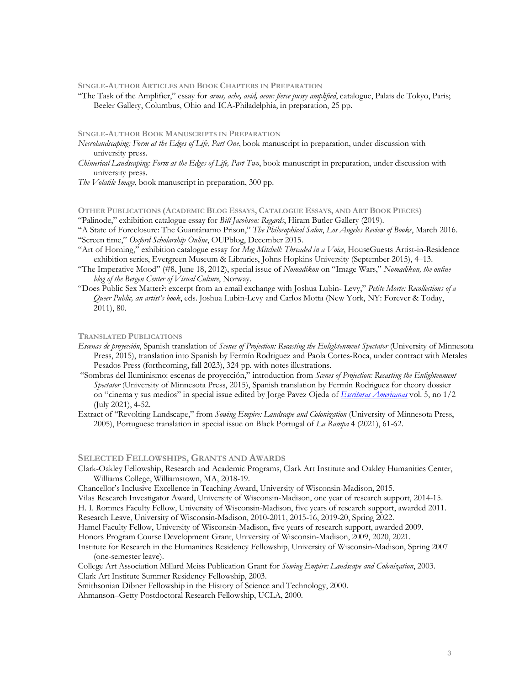**SINGLE-AUTHOR ARTICLES AND BOOK CHAPTERS IN PREPARATION**

"The Task of the Amplifier," essay for *arms, ache, avid, aeon: fierce pussy amplified*, catalogue, Palais de Tokyo, Paris; Beeler Gallery, Columbus, Ohio and ICA-Philadelphia, in preparation, 25 pp.

# **SINGLE-AUTHOR BOOK MANUSCRIPTS IN PREPARATION**

- *Necrolandscaping: Form at the Edges of Life, Part One*, book manuscript in preparation, under discussion with university press.
- *Chimerical Landscaping: Form at the Edges of Life, Part Two*, book manuscript in preparation, under discussion with university press.

*The Volatile Image*, book manuscript in preparation, 300 pp.

## **OTHER PUBLICATIONS (ACADEMIC BLOG ESSAYS, CATALOGUE ESSAYS, AND ART BOOK PIECES)**

"Palinode," exhibition catalogue essay for *Bill Jacobson: Regards*, Hiram Butler Gallery (2019).

"A State of Foreclosure: The Guantánamo Prison," *The Philosophical Salon*, *Los Angeles Review of Books*, March 2016. "Screen time," *Oxford Scholarship Online*, OUPblog, December 2015.

- "Art of Horning," exhibition catalogue essay for *Meg Mitchell: Threaded in a Voice*, HouseGuests Artist-in-Residence exhibition series, Evergreen Museum & Libraries, Johns Hopkins University (September 2015), 4–13.
- "The Imperative Mood" (#8, June 18, 2012), special issue of *Nomadikon* on "Image Wars," *Nomadikon, the online blog of the Bergen Center of Visual Culture*, Norway.
- "Does Public Sex Matter?: excerpt from an email exchange with Joshua Lubin- Levy," *Petite Morte: Recollections of a Queer Public, an artist's book*, eds. Joshua Lubin-Levy and Carlos Motta (New York, NY: Forever & Today, 2011), 80.

### **TRANSLATED PUBLICATIONS**

- *Escenas de proyección*, Spanish translation of *Scenes of Projection: Recasting the Enlightenment Spectator* (University of Minnesota Press, 2015), translation into Spanish by Fermín Rodriguez and Paola Cortes-Roca, under contract with Metales Pesados Press (forthcoming, fall 2023), 324 pp. with notes illustrations.
- "Sombras del Iluminismo: escenas de proyección," introduction from *Scenes of Projection: Recasting the Enlightenment Spectator* (University of Minnesota Press, 2015), Spanish translation by Fermín Rodriguez for theory dossier on "cinema y sus medios" in special issue edited by Jorge Pavez Ojeda of *Escrituras Americanas* vol. 5, no 1/2 (July 2021), 4-52.
- Extract of "Revolting Landscape," from *Sowing Empire: Landscape and Colonization* (University of Minnesota Press, 2005), Portuguese translation in special issue on Black Portugal of *La Rampa* 4 (2021), 61-62.

## **SELECTED FELLOWSHIPS, GRANTS AND AWARDS**

Clark-Oakley Fellowship, Research and Academic Programs, Clark Art Institute and Oakley Humanities Center, Williams College, Williamstown, MA, 2018-19.

Chancellor's Inclusive Excellence in Teaching Award, University of Wisconsin-Madison, 2015.

Vilas Research Investigator Award, University of Wisconsin-Madison, one year of research support, 2014-15.

H. I. Romnes Faculty Fellow, University of Wisconsin-Madison, five years of research support, awarded 2011.

Research Leave, University of Wisconsin-Madison, 2010-2011, 2015-16, 2019-20, Spring 2022. Hamel Faculty Fellow, University of Wisconsin-Madison, five years of research support, awarded 2009.

Honors Program Course Development Grant, University of Wisconsin-Madison, 2009, 2020, 2021.

# Institute for Research in the Humanities Residency Fellowship, University of Wisconsin-Madison, Spring 2007 (one-semester leave).

College Art Association Millard Meiss Publication Grant for *Sowing Empire: Landscape and Colonization*, 2003. Clark Art Institute Summer Residency Fellowship, 2003.

Smithsonian Dibner Fellowship in the History of Science and Technology, 2000.

Ahmanson–Getty Postdoctoral Research Fellowship, UCLA, 2000.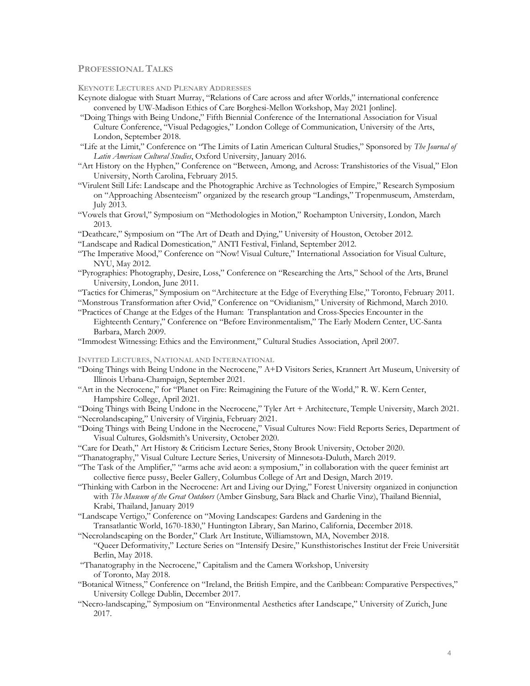# **PROFESSIONAL TALKS**

**KEYNOTE LECTURES AND PLENARY ADDRESSES**

- Keynote dialogue with Stuart Murray, "Relations of Care across and after Worlds," international conference convened by UW-Madison Ethics of Care Borghesi-Mellon Workshop, May 2021 [online].
- "Doing Things with Being Undone," Fifth Biennial Conference of the International Association for Visual Culture Conference, "Visual Pedagogies," London College of Communication, University of the Arts, London, September 2018.
- "Life at the Limit," Conference on "The Limits of Latin American Cultural Studies," Sponsored by *The Journal of Latin American Cultural Studies*, Oxford University, January 2016.
- "Art History on the Hyphen," Conference on "Between, Among, and Across: Transhistories of the Visual," Elon University, North Carolina, February 2015.
- "Virulent Still Life: Landscape and the Photographic Archive as Technologies of Empire," Research Symposium on "Approaching Absenteeism" organized by the research group "Landings," Tropenmuseum, Amsterdam, July 2013.
- "Vowels that Growl," Symposium on "Methodologies in Motion," Roehampton University, London, March 2013.
- "Deathcare," Symposium on "The Art of Death and Dying," University of Houston, October 2012.

"Landscape and Radical Domestication," ANTI Festival, Finland, September 2012.

- "The Imperative Mood," Conference on "Now! Visual Culture," International Association for Visual Culture, NYU, May 2012.
- "Pyrographies: Photography, Desire, Loss," Conference on "Researching the Arts," School of the Arts, Brunel University, London, June 2011.
- "Tactics for Chimeras," Symposium on "Architecture at the Edge of Everything Else," Toronto, February 2011.

"Monstrous Transformation after Ovid," Conference on "Ovidianism," University of Richmond, March 2010. "Practices of Change at the Edges of the Human: Transplantation and Cross-Species Encounter in the

- Eighteenth Century," Conference on "Before Environmentalism," The Early Modern Center, UC-Santa Barbara, March 2009.
- "Immodest Witnessing: Ethics and the Environment," Cultural Studies Association, April 2007.

**INVITED LECTURES, NATIONAL AND INTERNATIONAL** 

- "Doing Things with Being Undone in the Necrocene," A+D Visitors Series, Krannert Art Museum, University of Illinois Urbana-Champaign, September 2021.
- "Art in the Necrocene," for "Planet on Fire: Reimagining the Future of the World," R. W. Kern Center, Hampshire College, April 2021.
- "Doing Things with Being Undone in the Necrocene," Tyler Art + Architecture, Temple University, March 2021. "Necrolandscaping," University of Virginia, February 2021.
- "Doing Things with Being Undone in the Necrocene," Visual Cultures Now: Field Reports Series, Department of Visual Cultures, Goldsmith's University, October 2020.
- "Care for Death," Art History & Criticism Lecture Series, Stony Brook University, October 2020.
- "Thanatography," Visual Culture Lecture Series, University of Minnesota-Duluth, March 2019.
- "The Task of the Amplifier," "arms ache avid aeon: a symposium," in collaboration with the queer feminist art collective fierce pussy, Beeler Gallery, Columbus College of Art and Design, March 2019.
- "Thinking with Carbon in the Necrocene: Art and Living our Dying," Forest University organized in conjunction with *The Museum of the Great Outdoors* (Amber Ginsburg, Sara Black and Charlie Vinz), Thailand Biennial, Krabi, Thailand, January 2019
- "Landscape Vertigo," Conference on "Moving Landscapes: Gardens and Gardening in the Transatlantic World, 1670-1830," Huntington Library, San Marino, California, December 2018.
- "Necrolandscaping on the Border," Clark Art Institute, Williamstown, MA, November 2018.
	- "Queer Deformativity," Lecture Series on "Intensify Desire," Kunsthistorisches Institut der Freie Universität Berlin, May 2018.
- "Thanatography in the Necrocene," Capitalism and the Camera Workshop, University of Toronto, May 2018.
- "Botanical Witness," Conference on "Ireland, the British Empire, and the Caribbean: Comparative Perspectives," University College Dublin, December 2017.
- "Necro-landscaping," Symposium on "Environmental Aesthetics after Landscape," University of Zurich, June 2017.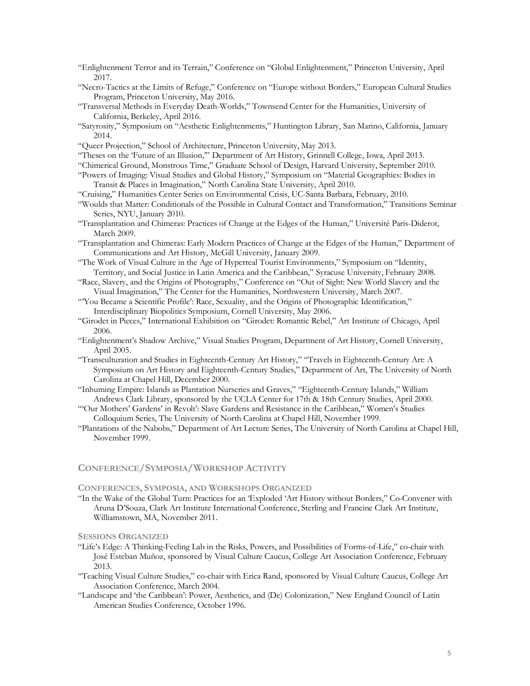- "Enlightenment Terror and its Terrain," Conference on "Global Enlightenment," Princeton University, April 2017.
- "Necro-Tactics at the Limits of Refuge," Conference on "Europe without Borders," European Cultural Studies Program, Princeton University, May 2016.
- "Transversal Methods in Everyday Death-Worlds," Townsend Center for the Humanities, University of California, Berkeley, April 2016.
- "Satyrosity," Symposium on "Aesthetic Enlightenments," Huntington Library, San Marino, California, January 2014.
- "Queer Projection," School of Architecture, Princeton University, May 2013.
- "Theses on the 'Future of an Illusion,'" Department of Art History, Grinnell College, Iowa, April 2013.
- "Chimerical Ground, Monstrous Time," Graduate School of Design, Harvard University, September 2010.
- "Powers of Imaging: Visual Studies and Global History," Symposium on "Material Geographies: Bodies in Transit & Places in Imagination," North Carolina State University, April 2010.
- "Cruising," Humanities Center Series on Environmental Crisis, UC-Santa Barbara, February, 2010.
- "Woulds that Matter: Conditionals of the Possible in Cultural Contact and Transformation," Transitions Seminar Series, NYU, January 2010.
- "Transplantation and Chimeras: Practices of Change at the Edges of the Human," Université Paris-Diderot, March 2009.
- "Transplantation and Chimeras: Early Modern Practices of Change at the Edges of the Human," Department of Communications and Art History, McGill University, January 2009.
- "The Work of Visual Culture in the Age of Hyperreal Tourist Environments," Symposium on "Identity, Territory, and Social Justice in Latin America and the Caribbean," Syracuse University, February 2008.
- "Race, Slavery, and the Origins of Photography," Conference on "Out of Sight: New World Slavery and the Visual Imagination," The Center for the Humanities, Northwestern University, March 2007.
- "'You Became a Scientific Profile': Race, Sexuality, and the Origins of Photographic Identification," Interdisciplinary Biopolitics Symposium, Cornell University, May 2006.
- "Girodet in Pieces," International Exhibition on "Girodet: Romantic Rebel," Art Institute of Chicago, April 2006.
- "Enlightenment's Shadow Archive," Visual Studies Program, Department of Art History, Cornell University, April 2005.
- "Transculturation and Studies in Eighteenth-Century Art History," "Travels in Eighteenth-Century Art: A Symposium on Art History and Eighteenth-Century Studies," Department of Art, The University of North Carolina at Chapel Hill, December 2000.
- "Inhuming Empire: Islands as Plantation Nurseries and Graves," "Eighteenth-Century Islands," William Andrews Clark Library, sponsored by the UCLA Center for 17th & 18th Century Studies, April 2000.
- "'Our Mothers' Gardens' in Revolt': Slave Gardens and Resistance in the Caribbean," Women's Studies Colloquium Series, The University of North Carolina at Chapel Hill, November 1999.
- "Plantations of the Nabobs," Department of Art Lecture Series, The University of North Carolina at Chapel Hill, November 1999.

# **CONFERENCE/SYMPOSIA/WORKSHOP ACTIVITY**

# **CONFERENCES, SYMPOSIA, AND WORKSHOPS ORGANIZED**

"In the Wake of the Global Turn: Practices for an 'Exploded 'Art History without Borders," Co-Convener with Aruna D'Souza, Clark Art Institute International Conference, Sterling and Francine Clark Art Institute, Williamstown, MA, November 2011.

## **SESSIONS ORGANIZED**

- "Life's Edge: A Thinking-Feeling Lab in the Risks, Powers, and Possibilities of Forms-of-Life," co-chair with José Esteban Muñoz, sponsored by Visual Culture Caucus, College Art Association Conference, February 2013.
- "Teaching Visual Culture Studies," co-chair with Erica Rand, sponsored by Visual Culture Caucus, College Art Association Conference, March 2004.
- "Landscape and 'the Caribbean': Power, Aesthetics, and (De) Colonization," New England Council of Latin American Studies Conference, October 1996.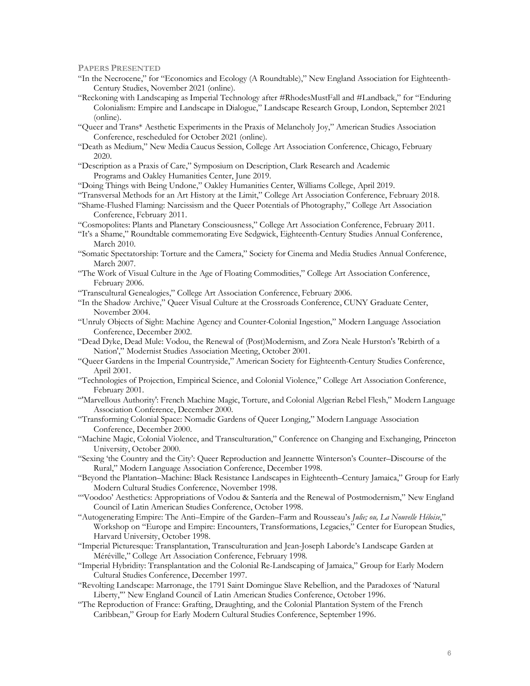**PAPERS PRESENTED**

- "In the Necrocene," for "Economics and Ecology (A Roundtable)," New England Association for Eighteenth-Century Studies, November 2021 (online).
- "Reckoning with Landscaping as Imperial Technology after #RhodesMustFall and #Landback," for "Enduring Colonialism: Empire and Landscape in Dialogue," Landscape Research Group, London, September 2021 (online).
- "Queer and Trans\* Aesthetic Experiments in the Praxis of Melancholy Joy," American Studies Association Conference, rescheduled for October 2021 (online).
- "Death as Medium," New Media Caucus Session, College Art Association Conference, Chicago, February 2020.
- "Description as a Praxis of Care," Symposium on Description, Clark Research and Academic Programs and Oakley Humanities Center, June 2019.
- "Doing Things with Being Undone," Oakley Humanities Center, Williams College, April 2019.
- "Transversal Methods for an Art History at the Limit," College Art Association Conference, February 2018.
- "Shame-Flushed Flaming: Narcissism and the Queer Potentials of Photography," College Art Association Conference, February 2011.
- "Cosmopolites: Plants and Planetary Consciousness," College Art Association Conference, February 2011.
- "It's a Shame," Roundtable commemorating Eve Sedgwick, Eighteenth-Century Studies Annual Conference, March 2010.
- "Somatic Spectatorship: Torture and the Camera," Society for Cinema and Media Studies Annual Conference, March 2007.
- "The Work of Visual Culture in the Age of Floating Commodities," College Art Association Conference, February 2006.
- "Transcultural Genealogies," College Art Association Conference, February 2006.
- "In the Shadow Archive," Queer Visual Culture at the Crossroads Conference, CUNY Graduate Center, November 2004.
- "Unruly Objects of Sight: Machine Agency and Counter-Colonial Ingestion," Modern Language Association Conference, December 2002.
- "Dead Dyke, Dead Mule: Vodou, the Renewal of (Post)Modernism, and Zora Neale Hurston's 'Rebirth of a Nation'," Modernist Studies Association Meeting, October 2001.
- "Queer Gardens in the Imperial Countryside," American Society for Eighteenth-Century Studies Conference, April 2001.
- "Technologies of Projection, Empirical Science, and Colonial Violence," College Art Association Conference, February 2001.
- "'Marvellous Authority': French Machine Magic, Torture, and Colonial Algerian Rebel Flesh," Modern Language Association Conference, December 2000.
- "Transforming Colonial Space: Nomadic Gardens of Queer Longing," Modern Language Association Conference, December 2000.
- "Machine Magic, Colonial Violence, and Transculturation," Conference on Changing and Exchanging, Princeton University, October 2000.
- "Sexing 'the Country and the City': Queer Reproduction and Jeannette Winterson's Counter–Discourse of the Rural," Modern Language Association Conference, December 1998.
- "Beyond the Plantation–Machine: Black Resistance Landscapes in Eighteenth–Century Jamaica," Group for Early Modern Cultural Studies Conference, November 1998.
- "'Voodoo' Aesthetics: Appropriations of Vodou & Santería and the Renewal of Postmodernism," New England Council of Latin American Studies Conference, October 1998.
- "Autogenerating Empire: The Anti–Empire of the Garden–Farm and Rousseau's *Julie; ou, La Nouvelle Héloise*," Workshop on "Europe and Empire: Encounters, Transformations, Legacies," Center for European Studies, Harvard University, October 1998.
- "Imperial Picturesque: Transplantation, Transculturation and Jean-Joseph Laborde's Landscape Garden at Méréville," College Art Association Conference, February 1998.
- "Imperial Hybridity: Transplantation and the Colonial Re-Landscaping of Jamaica," Group for Early Modern Cultural Studies Conference, December 1997.
- "Revolting Landscape: Marronage, the 1791 Saint Domingue Slave Rebellion, and the Paradoxes of 'Natural Liberty,'" New England Council of Latin American Studies Conference, October 1996.
- "The Reproduction of France: Grafting, Draughting, and the Colonial Plantation System of the French Caribbean," Group for Early Modern Cultural Studies Conference, September 1996.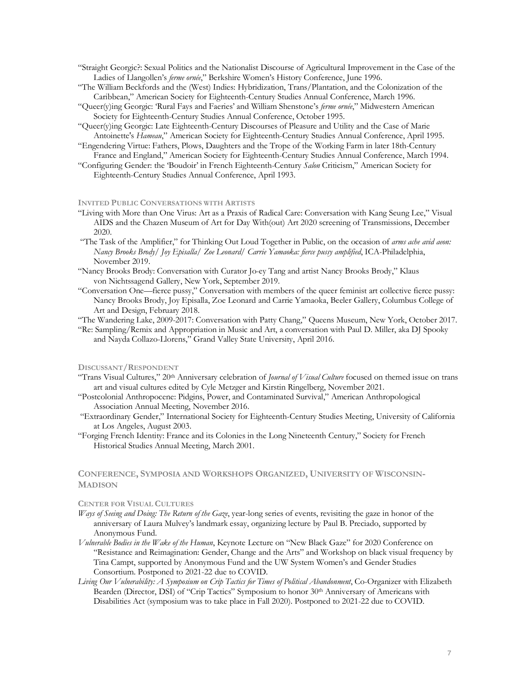- "Straight Georgic?: Sexual Politics and the Nationalist Discourse of Agricultural Improvement in the Case of the Ladies of Llangollen's *ferme ornée*," Berkshire Women's History Conference, June 1996.
- "The William Beckfords and the (West) Indies: Hybridization, Trans/Plantation, and the Colonization of the Caribbean," American Society for Eighteenth-Century Studies Annual Conference, March 1996.
- "Queer(y)ing Georgic: 'Rural Fays and Faeries' and William Shenstone's *ferme ornée*," Midwestern American Society for Eighteenth-Century Studies Annual Conference, October 1995.
- "Queer(y)ing Georgic: Late Eighteenth-Century Discourses of Pleasure and Utility and the Case of Marie Antoinette's *Hameau*," American Society for Eighteenth-Century Studies Annual Conference, April 1995.
- "Engendering Virtue: Fathers, Plows, Daughters and the Trope of the Working Farm in later 18th-Century France and England," American Society for Eighteenth-Century Studies Annual Conference, March 1994.
- "Configuring Gender: the 'Boudoir' in French Eighteenth-Century *Salon* Criticism," American Society for Eighteenth-Century Studies Annual Conference, April 1993.

## **INVITED PUBLIC CONVERSATIONS WITH ARTISTS**

- "Living with More than One Virus: Art as a Praxis of Radical Care: Conversation with Kang Seung Lee," Visual AIDS and the Chazen Museum of Art for Day With(out) Art 2020 screening of Transmissions, December 2020.
- "The Task of the Amplifier," for Thinking Out Loud Together in Public, on the occasion of *arms ache avid aeon: Nancy Brooks Brody/ Joy Episalla/ Zoe Leonard/ Carrie Yamaoka: fierce pussy amplified*, ICA-Philadelphia, November 2019.
- "Nancy Brooks Brody: Conversation with Curator Jo-ey Tang and artist Nancy Brooks Brody," Klaus von Nichtssagend Gallery, New York, September 2019.
- "Conversation One—fierce pussy," Conversation with members of the queer feminist art collective fierce pussy: Nancy Brooks Brody, Joy Episalla, Zoe Leonard and Carrie Yamaoka, Beeler Gallery, Columbus College of Art and Design, February 2018.
- "The Wandering Lake, 2009-2017: Conversation with Patty Chang," Queens Museum, New York, October 2017.
- "Re: Sampling/Remix and Appropriation in Music and Art, a conversation with Paul D. Miller, aka DJ Spooky and Nayda Collazo-Llorens," Grand Valley State University, April 2016.

#### **DISCUSSANT/RESPONDENT**

- "Trans Visual Cultures," 20th Anniversary celebration of *Journal of Visual Culture* focused on themed issue on trans art and visual cultures edited by Cyle Metzger and Kirstin Ringelberg, November 2021.
- "Postcolonial Anthropocene: Pidgins, Power, and Contaminated Survival," American Anthropological Association Annual Meeting, November 2016.
- "Extraordinary Gender," International Society for Eighteenth-Century Studies Meeting, University of California at Los Angeles, August 2003.
- "Forging French Identity: France and its Colonies in the Long Nineteenth Century," Society for French Historical Studies Annual Meeting, March 2001.

# **CONFERENCE, SYMPOSIA AND WORKSHOPS ORGANIZED, UNIVERSITY OF WISCONSIN-MADISON**

### **CENTER FOR VISUAL CULTURES**

- *Ways of Seeing and Doing: The Return of the Gaze*, year-long series of events, revisiting the gaze in honor of the anniversary of Laura Mulvey's landmark essay, organizing lecture by Paul B. Preciado, supported by Anonymous Fund.
- *Vulnerable Bodies in the Wake of the Human*, Keynote Lecture on "New Black Gaze" for 2020 Conference on "Resistance and Reimagination: Gender, Change and the Arts" and Workshop on black visual frequency by Tina Campt, supported by Anonymous Fund and the UW System Women's and Gender Studies Consortium. Postponed to 2021-22 due to COVID.
- *Living Our Vulnerability: A Symposium on Crip Tactics for Times of Political Abandonment*, Co-Organizer with Elizabeth Bearden (Director, DSI) of "Crip Tactics" Symposium to honor 30<sup>th</sup> Anniversary of Americans with Disabilities Act (symposium was to take place in Fall 2020). Postponed to 2021-22 due to COVID.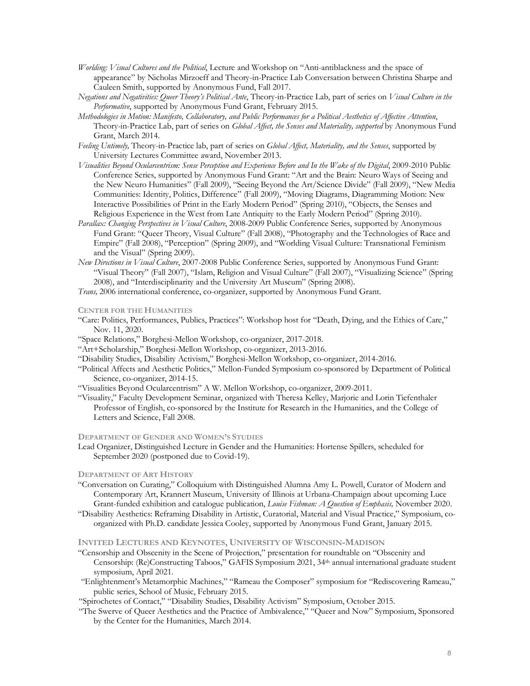- *Worlding: Visual Cultures and the Political*, Lecture and Workshop on "Anti-antiblackness and the space of appearance" by Nicholas Mirzoeff and Theory-in-Practice Lab Conversation between Christina Sharpe and Cauleen Smith, supported by Anonymous Fund, Fall 2017.
- *Negations and Negativities: Queer Theory's Political Ante*, Theory-in-Practice Lab, part of series on *Visual Culture in the Performative*, supported by Anonymous Fund Grant, February 2015.
- *Methodologies in Motion: Manifesto, Collaboratory, and Public Performances for a Political Aesthetics of Affective Attention*, Theory-in-Practice Lab, part of series on *Global Affect, the Senses and Materiality, supported* by Anonymous Fund Grant, March 2014.
- *Feeling Untimely,* Theory-in-Practice lab, part of series on *Global Affect, Materiality, and the Senses*, supported by University Lectures Committee award, November 2013.
- *Visualities Beyond Ocularcentrism: Sense Perception and Experience Before and In the Wake of the Digital*, 2009-2010 Public Conference Series, supported by Anonymous Fund Grant: "Art and the Brain: Neuro Ways of Seeing and the New Neuro Humanities" (Fall 2009), "Seeing Beyond the Art/Science Divide" (Fall 2009), "New Media Communities: Identity, Politics, Difference" (Fall 2009), "Moving Diagrams, Diagramming Motion: New Interactive Possibilities of Print in the Early Modern Period" (Spring 2010), "Objects, the Senses and Religious Experience in the West from Late Antiquity to the Early Modern Period" (Spring 2010).
- *Parallax: Changing Perspectives in Visual Culture*, 2008-2009 Public Conference Series, supported by Anonymous Fund Grant: "Queer Theory, Visual Culture" (Fall 2008), "Photography and the Technologies of Race and Empire" (Fall 2008), "Perception" (Spring 2009), and "Worlding Visual Culture: Transnational Feminism and the Visual" (Spring 2009).
- *New Directions in Visual Culture*, 2007-2008 Public Conference Series, supported by Anonymous Fund Grant: "Visual Theory" (Fall 2007), "Islam, Religion and Visual Culture" (Fall 2007), "Visualizing Science" (Spring 2008), and "Interdisciplinarity and the University Art Museum" (Spring 2008).
- *Trans,* 2006 international conference, co-organizer, supported by Anonymous Fund Grant.

## **CENTER FOR THE HUMANITIES**

- "Care: Politics, Performances, Publics, Practices": Workshop host for "Death, Dying, and the Ethics of Care," Nov. 11, 2020.
- "Space Relations," Borghesi-Mellon Workshop, co-organizer, 2017-2018.
- "Art+Scholarship," Borghesi-Mellon Workshop, co-organizer, 2013-2016.
- "Disability Studies, Disability Activism," Borghesi-Mellon Workshop, co-organizer, 2014-2016.
- "Political Affects and Aesthetic Politics," Mellon-Funded Symposium co-sponsored by Department of Political Science, co-organizer, 2014-15.
- "Visualities Beyond Ocularcentrism" A W. Mellon Workshop, co-organizer, 2009-2011.
- "Visuality," Faculty Development Seminar, organized with Theresa Kelley, Marjorie and Lorin Tiefenthaler Professor of English, co-sponsored by the Institute for Research in the Humanities, and the College of Letters and Science, Fall 2008.

## **DEPARTMENT OF GENDER AND WOMEN'S STUDIES**

Lead Organizer, Distinguished Lecture in Gender and the Humanities: Hortense Spillers, scheduled for September 2020 (postponed due to Covid-19).

#### **DEPARTMENT OF ART HISTORY**

- "Conversation on Curating," Colloquium with Distinguished Alumna Amy L. Powell, Curator of Modern and Contemporary Art, Krannert Museum, University of Illinois at Urbana-Champaign about upcoming Luce Grant-funded exhibition and catalogue publication, *Louise Fishman: A Question of Emphasis,* November 2020.
- "Disability Aesthetics: Reframing Disability in Artistic, Curatorial, Material and Visual Practice," Symposium, coorganized with Ph.D. candidate Jessica Cooley, supported by Anonymous Fund Grant, January 2015.

# **INVITED LECTURES AND KEYNOTES, UNIVERSITY OF WISCONSIN-MADISON**

- "Censorship and Obscenity in the Scene of Projection," presentation for roundtable on "Obscenity and Censorship: (Re)Constructing Taboos," GAFIS Symposium 2021, 34th annual international graduate student symposium, April 2021.
- "Enlightenment's Metamorphic Machines," "Rameau the Composer" symposium for "Rediscovering Rameau," public series, School of Music, February 2015.
- "Spirochetes of Contact," "Disability Studies, Disability Activism" Symposium, October 2015.
- "The Swerve of Queer Aesthetics and the Practice of Ambivalence," "Queer and Now" Symposium, Sponsored by the Center for the Humanities, March 2014.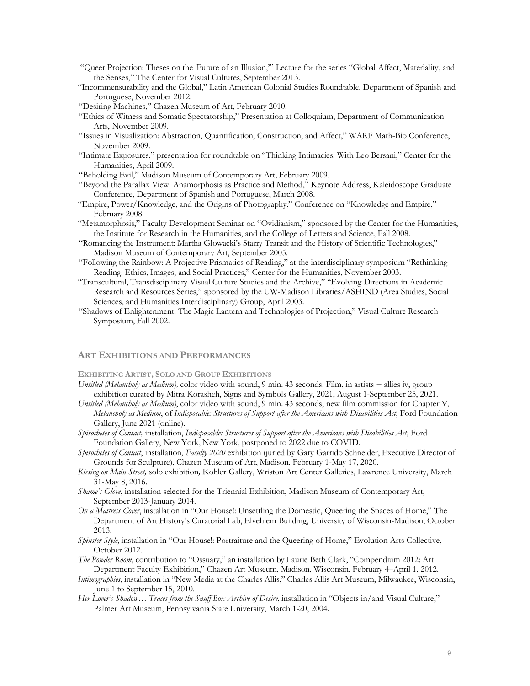- "Queer Projection: Theses on the 'Future of an Illusion,'" Lecture for the series "Global Affect, Materiality, and the Senses," The Center for Visual Cultures, September 2013.
- "Incommensurability and the Global," Latin American Colonial Studies Roundtable, Department of Spanish and Portuguese, November 2012.
- "Desiring Machines," Chazen Museum of Art, February 2010.
- "Ethics of Witness and Somatic Spectatorship," Presentation at Colloquium, Department of Communication Arts, November 2009.
- "Issues in Visualization: Abstraction, Quantification, Construction, and Affect," WARF Math-Bio Conference, November 2009.
- "Intimate Exposures," presentation for roundtable on "Thinking Intimacies: With Leo Bersani," Center for the Humanities, April 2009.
- "Beholding Evil," Madison Museum of Contemporary Art, February 2009.
- "Beyond the Parallax View: Anamorphosis as Practice and Method," Keynote Address, Kaleidoscope Graduate Conference, Department of Spanish and Portuguese, March 2008.
- "Empire, Power/Knowledge, and the Origins of Photography," Conference on "Knowledge and Empire," February 2008.
- "Metamorphosis," Faculty Development Seminar on "Ovidianism," sponsored by the Center for the Humanities, the Institute for Research in the Humanities, and the College of Letters and Science, Fall 2008.
- "Romancing the Instrument: Martha Glowacki's Starry Transit and the History of Scientific Technologies," Madison Museum of Contemporary Art, September 2005.
- "Following the Rainbow: A Projective Prismatics of Reading," at the interdisciplinary symposium "Rethinking Reading: Ethics, Images, and Social Practices," Center for the Humanities, November 2003.
- "Transcultural, Transdisciplinary Visual Culture Studies and the Archive," "Evolving Directions in Academic Research and Resources Series," sponsored by the UW-Madison Libraries/ASHIND (Area Studies, Social Sciences, and Humanities Interdisciplinary) Group, April 2003.
- "Shadows of Enlightenment: The Magic Lantern and Technologies of Projection," Visual Culture Research Symposium, Fall 2002.

## **ART EXHIBITIONS AND PERFORMANCES**

## **EXHIBITING ARTIST, SOLO AND GROUP EXHIBITIONS**

- *Untitled (Melancholy as Medium),* color video with sound, 9 min. 43 seconds. Film, in artists + allies iv, group exhibition curated by Mitra Korasheh, Signs and Symbols Gallery, 2021, August 1-September 25, 2021.
- *Untitled (Melancholy as Medium)*, color video with sound, 9 min. 43 seconds, new film commission for Chapter V, *Melancholy as Medium*, of *Indisposable: Structures of Support after the Americans with Disabilities Act*, Ford Foundation Gallery, June 2021 (online).
- *Spirochetes of Contact,* installation, *Indisposable: Structures of Support after the Americans with Disabilities Act*, Ford Foundation Gallery, New York, New York, postponed to 2022 due to COVID.
- *Spirochetes of Contact*, installation, *Faculty 2020* exhibition (juried by Gary Garrido Schneider, Executive Director of Grounds for Sculpture), Chazen Museum of Art, Madison, February 1-May 17, 2020.
- *Kissing on Main Street,* solo exhibition*,* Kohler Gallery, Wriston Art Center Galleries, Lawrence University, March 31-May 8, 2016.
- *Shame's Glove*, installation selected for the Triennial Exhibition, Madison Museum of Contemporary Art, September 2013-January 2014.
- *On a Mattress Cover*, installation in "Our House!: Unsettling the Domestic, Queering the Spaces of Home," The Department of Art History's Curatorial Lab, Elvehjem Building, University of Wisconsin-Madison, October 2013.
- *Spinster Style*, installation in "Our House!: Portraiture and the Queering of Home," Evolution Arts Collective, October 2012.
- *The Powder Room*, contribution to "Ossuary," an installation by Laurie Beth Clark, "Compendium 2012: Art Department Faculty Exhibition," Chazen Art Museum, Madison, Wisconsin, February 4–April 1, 2012.
- *Intimographies*, installation in "New Media at the Charles Allis," Charles Allis Art Museum, Milwaukee, Wisconsin, June 1 to September 15, 2010.
- *Her Lover's Shadow… Traces from the Snuff Box Archive of Desire*, installation in "Objects in/and Visual Culture," Palmer Art Museum, Pennsylvania State University, March 1-20, 2004.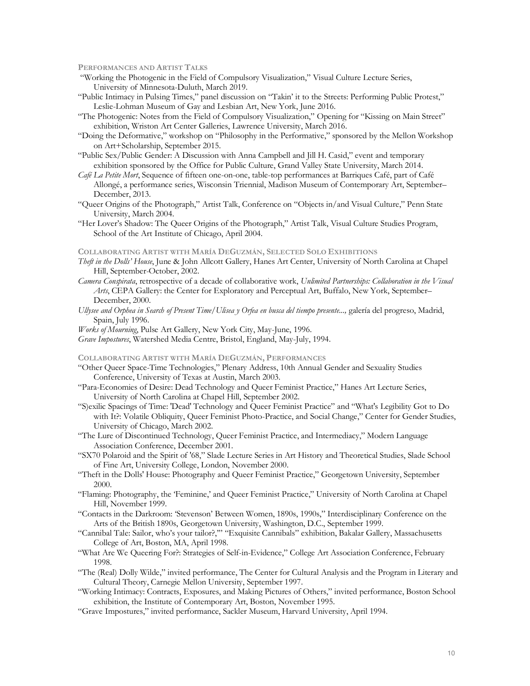**PERFORMANCES AND ARTIST TALKS**

- "Working the Photogenic in the Field of Compulsory Visualization," Visual Culture Lecture Series, University of Minnesota-Duluth, March 2019.
- "Public Intimacy in Pulsing Times," panel discussion on "Takin' it to the Streets: Performing Public Protest," Leslie-Lohman Museum of Gay and Lesbian Art, New York, June 2016.
- "The Photogenic: Notes from the Field of Compulsory Visualization," Opening for "Kissing on Main Street" exhibition, Wriston Art Center Galleries, Lawrence University, March 2016.
- "Doing the Deformative," workshop on "Philosophy in the Performative," sponsored by the Mellon Workshop on Art+Scholarship, September 2015.
- "Public Sex/Public Gender: A Discussion with Anna Campbell and Jill H. Casid," event and temporary exhibition sponsored by the Office for Public Culture, Grand Valley State University, March 2014.
- *Café La Petite Mort*, Sequence of fifteen one-on-one, table-top performances at Barriques Café, part of Café Allongé, a performance series, Wisconsin Triennial, Madison Museum of Contemporary Art, September– December, 2013.
- "Queer Origins of the Photograph," Artist Talk, Conference on "Objects in/and Visual Culture," Penn State University, March 2004.
- "Her Lover's Shadow: The Queer Origins of the Photograph," Artist Talk, Visual Culture Studies Program, School of the Art Institute of Chicago, April 2004.

### **COLLABORATING ARTIST WITH MARÍA DEGUZMÁN, SELECTED SOLO EXHIBITIONS**

- *Theft in the Dolls' House*, June & John Allcott Gallery, Hanes Art Center, University of North Carolina at Chapel Hill, September-October, 2002.
- *Camera Conspirata*, retrospective of a decade of collaborative work, *Unlimited Partnerships: Collaboration in the Visual Arts*, CEPA Gallery: the Center for Exploratory and Perceptual Art, Buffalo, New York, September– December, 2000.
- *Ullysee and Orphea in Search of Present Time/Ulisea y Orfea en busca del tiempo presente...,* galería del progreso, Madrid, Spain, July 1996.
- *Works of Mourning*, Pulse Art Gallery, New York City, May-June, 1996.
- *Grave Impostures*, Watershed Media Centre, Bristol, England, May-July, 1994.

#### **COLLABORATING ARTIST WITH MARÍA DEGUZMÁN, PERFORMANCES**

- "Other Queer Space-Time Technologies," Plenary Address, 10th Annual Gender and Sexuality Studies Conference, University of Texas at Austin, March 2003.
- "Para-Economies of Desire: Dead Technology and Queer Feminist Practice," Hanes Art Lecture Series, University of North Carolina at Chapel Hill, September 2002.
- "S)exilic Spacings of Time: 'Dead' Technology and Queer Feminist Practice" and "What's Legibility Got to Do with It?: Volatile Obliquity, Queer Feminist Photo-Practice, and Social Change," Center for Gender Studies, University of Chicago, March 2002.
- "The Lure of Discontinued Technology, Queer Feminist Practice, and Intermediacy," Modern Language Association Conference, December 2001.
- "SX70 Polaroid and the Spirit of '68," Slade Lecture Series in Art History and Theoretical Studies, Slade School of Fine Art, University College, London, November 2000.
- "Theft in the Dolls' House: Photography and Queer Feminist Practice," Georgetown University, September 2000.
- "Flaming: Photography, the 'Feminine,' and Queer Feminist Practice," University of North Carolina at Chapel Hill, November 1999.
- "Contacts in the Darkroom: 'Stevenson' Between Women, 1890s, 1990s," Interdisciplinary Conference on the Arts of the British 1890s, Georgetown University, Washington, D.C., September 1999.
- "Cannibal Tale: Sailor, who's your tailor?,'" "Exquisite Cannibals" exhibition, Bakalar Gallery, Massachusetts College of Art, Boston, MA, April 1998.
- "What Are We Queering For?: Strategies of Self-in-Evidence," College Art Association Conference, February 1998.
- "The (Real) Dolly Wilde," invited performance, The Center for Cultural Analysis and the Program in Literary and Cultural Theory, Carnegie Mellon University, September 1997.
- "Working Intimacy: Contracts, Exposures, and Making Pictures of Others," invited performance, Boston School exhibition, the Institute of Contemporary Art, Boston, November 1995.
- "Grave Impostures," invited performance, Sackler Museum, Harvard University, April 1994.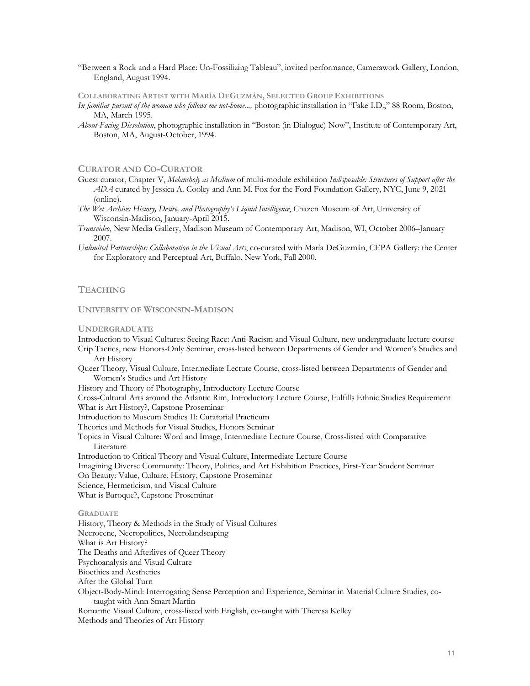"Between a Rock and a Hard Place: Un-Fossilizing Tableau", invited performance, Camerawork Gallery, London, England, August 1994.

# **COLLABORATING ARTIST WITH MARÍA DEGUZMÁN, SELECTED GROUP EXHIBITIONS**

- *In familiar pursuit of the woman who follows me not-home...,* photographic installation in "Fake I.D.," 88 Room, Boston, MA, March 1995.
- *About-Facing Dissolution*, photographic installation in "Boston (in Dialogue) Now", Institute of Contemporary Art, Boston, MA, August-October, 1994.

# **CURATOR AND CO-CURATOR**

- Guest curator, Chapter V, *Melancholy as Medium* of multi-module exhibition *Indisposable: Structures of Support after the ADA* curated by Jessica A. Cooley and Ann M. Fox for the Ford Foundation Gallery, NYC, June 9, 2021 (online).
- *The Wet Archive: History, Desire, and Photography's Liquid Intelligence*, Chazen Museum of Art, University of Wisconsin-Madison, January-April 2015.
- *Transvideo*, New Media Gallery, Madison Museum of Contemporary Art, Madison, WI, October 2006–January 2007.
- *Unlimited Partnerships: Collaboration in the Visual Arts*, co-curated with María DeGuzmán, CEPA Gallery: the Center for Exploratory and Perceptual Art, Buffalo, New York, Fall 2000.

# **TEACHING**

## **UNIVERSITY OF WISCONSIN-MADISON**

### **UNDERGRADUATE**

Introduction to Visual Cultures: Seeing Race: Anti-Racism and Visual Culture, new undergraduate lecture course Crip Tactics, new Honors-Only Seminar, cross-listed between Departments of Gender and Women's Studies and

- Art History
- Queer Theory, Visual Culture, Intermediate Lecture Course, cross-listed between Departments of Gender and Women's Studies and Art History

History and Theory of Photography, Introductory Lecture Course

Cross-Cultural Arts around the Atlantic Rim, Introductory Lecture Course, Fulfills Ethnic Studies Requirement What is Art History?, Capstone Proseminar

Introduction to Museum Studies II: Curatorial Practicum

Theories and Methods for Visual Studies, Honors Seminar

Topics in Visual Culture: Word and Image, Intermediate Lecture Course, Cross-listed with Comparative Literature

Introduction to Critical Theory and Visual Culture, Intermediate Lecture Course

Imagining Diverse Community: Theory, Politics, and Art Exhibition Practices, First-Year Student Seminar On Beauty: Value, Culture, History, Capstone Proseminar

Science, Hermeticism, and Visual Culture

What is Baroque?, Capstone Proseminar

#### **GRADUATE**

History, Theory & Methods in the Study of Visual Cultures Necrocene, Necropolitics, Necrolandscaping What is Art History? The Deaths and Afterlives of Queer Theory Psychoanalysis and Visual Culture Bioethics and Aesthetics After the Global Turn Object-Body-Mind: Interrogating Sense Perception and Experience, Seminar in Material Culture Studies, cotaught with Ann Smart Martin Romantic Visual Culture, cross-listed with English, co-taught with Theresa Kelley Methods and Theories of Art History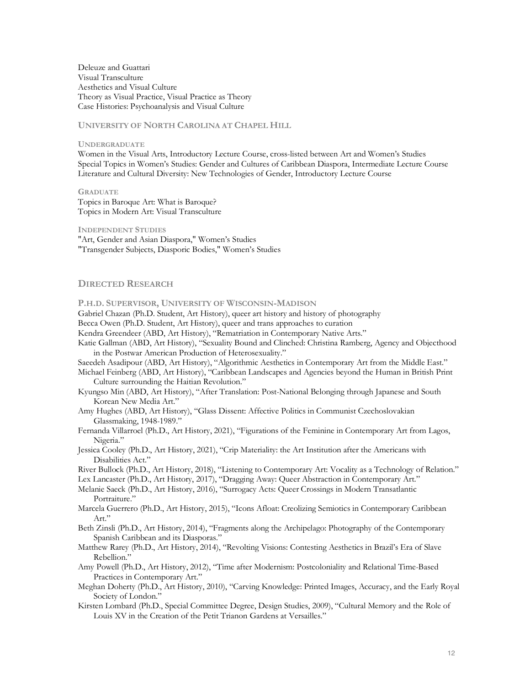Deleuze and Guattari Visual Transculture Aesthetics and Visual Culture Theory as Visual Practice, Visual Practice as Theory Case Histories: Psychoanalysis and Visual Culture

**UNIVERSITY OF NORTH CAROLINA AT CHAPEL HILL**

**UNDERGRADUATE** 

Women in the Visual Arts, Introductory Lecture Course, cross-listed between Art and Women's Studies Special Topics in Women's Studies: Gender and Cultures of Caribbean Diaspora, Intermediate Lecture Course Literature and Cultural Diversity: New Technologies of Gender, Introductory Lecture Course

**GRADUATE** Topics in Baroque Art: What is Baroque? Topics in Modern Art: Visual Transculture

**INDEPENDENT STUDIES**

"Art, Gender and Asian Diaspora," Women's Studies "Transgender Subjects, Diasporic Bodies," Women's Studies

## **DIRECTED RESEARCH**

**P.H.D. SUPERVISOR, UNIVERSITY OF WISCONSIN-MADISON**

Gabriel Chazan (Ph.D. Student, Art History), queer art history and history of photography

Becca Owen (Ph.D. Student, Art History), queer and trans approaches to curation

Kendra Greendeer (ABD, Art History), "Rematriation in Contemporary Native Arts."

Katie Gallman (ABD, Art History), "Sexuality Bound and Clinched: Christina Ramberg, Agency and Objecthood in the Postwar American Production of Heterosexuality."

Saeedeh Asadipour (ABD, Art History), "Algorithmic Aesthetics in Contemporary Art from the Middle East."

- Michael Feinberg (ABD, Art History), "Caribbean Landscapes and Agencies beyond the Human in British Print Culture surrounding the Haitian Revolution."
- Kyungso Min (ABD, Art History), "After Translation: Post-National Belonging through Japanese and South Korean New Media Art."
- Amy Hughes (ABD, Art History), "Glass Dissent: Affective Politics in Communist Czechoslovakian Glassmaking, 1948-1989."
- Fernanda Villarroel (Ph.D., Art History, 2021), "Figurations of the Feminine in Contemporary Art from Lagos, Nigeria."
- Jessica Cooley (Ph.D., Art History, 2021), "Crip Materiality: the Art Institution after the Americans with Disabilities Act."

River Bullock (Ph.D., Art History, 2018), "Listening to Contemporary Art: Vocality as a Technology of Relation."

- Lex Lancaster (Ph.D., Art History, 2017), "Dragging Away: Queer Abstraction in Contemporary Art."
- Melanie Saeck (Ph.D., Art History, 2016), "Surrogacy Acts: Queer Crossings in Modern Transatlantic Portraiture."
- Marcela Guerrero (Ph.D., Art History, 2015), "Icons Afloat: Creolizing Semiotics in Contemporary Caribbean Art."
- Beth Zinsli (Ph.D., Art History, 2014), "Fragments along the Archipelago: Photography of the Contemporary Spanish Caribbean and its Diasporas."
- Matthew Rarey (Ph.D., Art History, 2014), "Revolting Visions: Contesting Aesthetics in Brazil's Era of Slave Rebellion."
- Amy Powell (Ph.D., Art History, 2012), "Time after Modernism: Postcoloniality and Relational Time-Based Practices in Contemporary Art."
- Meghan Doherty (Ph.D., Art History, 2010), "Carving Knowledge: Printed Images, Accuracy, and the Early Royal Society of London."
- Kirsten Lombard (Ph.D., Special Committee Degree, Design Studies, 2009), "Cultural Memory and the Role of Louis XV in the Creation of the Petit Trianon Gardens at Versailles."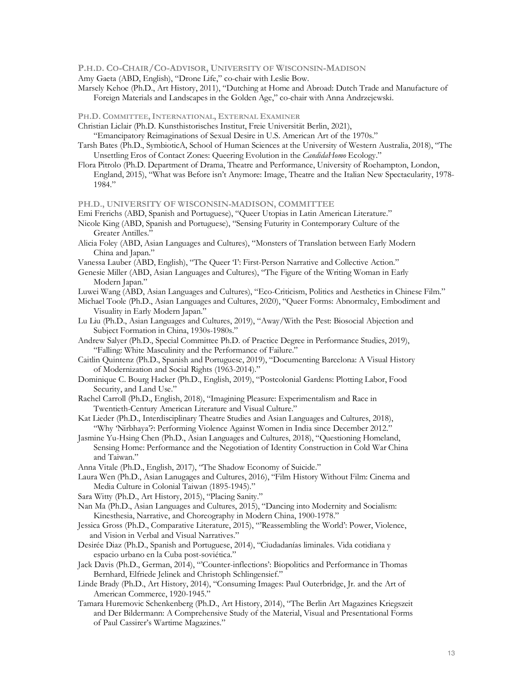### **P.H.D. CO-CHAIR/CO-ADVISOR, UNIVERSITY OF WISCONSIN-MADISON**

- Amy Gaeta (ABD, English), "Drone Life," co-chair with Leslie Bow.
- Marsely Kehoe (Ph.D., Art History, 2011), "Dutching at Home and Abroad: Dutch Trade and Manufacture of Foreign Materials and Landscapes in the Golden Age," co-chair with Anna Andrzejewski.

**PH.D. COMMITTEE,INTERNATIONAL, EXTERNAL EXAMINER**

Christian Liclair (Ph.D. Kunsthistorisches Institut, Freie Universität Berlin, 2021),

"Emancipatory Reimaginations of Sexual Desire in U.S. American Art of the 1970s."

- Tarsh Bates (Ph.D., SymbioticA, School of Human Sciences at the University of Western Australia, 2018), "The Unsettling Eros of Contact Zones: Queering Evolution in the *CandidaHomo* Ecology."
- Flora Pitrolo (Ph.D. Department of Drama, Theatre and Performance, University of Roehampton, London, England, 2015), "What was Before isn't Anymore: Image, Theatre and the Italian New Spectacularity, 1978- 1984."

**PH.D., UNIVERSITY OF WISCONSIN-MADISON, COMMITTEE**

Emi Frerichs (ABD, Spanish and Portuguese), "Queer Utopias in Latin American Literature."

Nicole King (ABD, Spanish and Portuguese), "Sensing Futurity in Contemporary Culture of the Greater Antilles."

Alicia Foley (ABD, Asian Languages and Cultures), "Monsters of Translation between Early Modern China and Japan."

Vanessa Lauber (ABD, English), "The Queer 'I': First-Person Narrative and Collective Action."

- Genesie Miller (ABD, Asian Languages and Cultures), "The Figure of the Writing Woman in Early Modern Japan."
- Luwei Wang (ABD, Asian Languages and Cultures), "Eco-Criticism, Politics and Aesthetics in Chinese Film."

Michael Toole (Ph.D., Asian Languages and Cultures, 2020), "Queer Forms: Abnormalcy, Embodiment and Visuality in Early Modern Japan."

Lu Liu (Ph.D., Asian Languages and Cultures, 2019), "Away/With the Pest: Biosocial Abjection and Subject Formation in China, 1930s-1980s."

Andrew Salyer (Ph.D., Special Committee Ph.D. of Practice Degree in Performance Studies, 2019), "Falling: White Masculinity and the Performance of Failure."

Caitlin Quintenz (Ph.D., Spanish and Portuguese, 2019), "Documenting Barcelona: A Visual History of Modernization and Social Rights (1963-2014)."

- Dominique C. Bourg Hacker (Ph.D., English, 2019), "Postcolonial Gardens: Plotting Labor, Food Security, and Land Use."
- Rachel Carroll (Ph.D., English, 2018), "Imagining Pleasure: Experimentalism and Race in Twentieth-Century American Literature and Visual Culture."
- Kat Lieder (Ph.D., Interdisciplinary Theatre Studies and Asian Languages and Cultures, 2018), "Why 'Nirbhaya'?: Performing Violence Against Women in India since December 2012."
- Jasmine Yu-Hsing Chen (Ph.D., Asian Languages and Cultures, 2018), "Questioning Homeland, Sensing Home: Performance and the Negotiation of Identity Construction in Cold War China and Taiwan."
- Anna Vitale (Ph.D., English, 2017), "The Shadow Economy of Suicide."
- Laura Wen (Ph.D., Asian Lanugages and Cultures, 2016), "Film History Without Film: Cinema and Media Culture in Colonial Taiwan (1895-1945)."
- Sara Witty (Ph.D., Art History, 2015), "Placing Sanity."
- Nan Ma (Ph.D., Asian Languages and Cultures, 2015), "Dancing into Modernity and Socialism: Kinesthesia, Narrative, and Choreography in Modern China, 1900-1978."
- Jessica Gross (Ph.D., Comparative Literature, 2015), "'Reassembling the World': Power, Violence, and Vision in Verbal and Visual Narratives."
- Desirée Diaz (Ph.D., Spanish and Portuguese, 2014), "Ciudadanías liminales. Vida cotidiana y espacio urbano en la Cuba post-soviética."
- Jack Davis (Ph.D., German, 2014), "'Counter-inflections': Biopolitics and Performance in Thomas Bernhard, Elfriede Jelinek and Christoph Schlingensief."
- Linde Brady (Ph.D., Art History, 2014), "Consuming Images: Paul Outerbridge, Jr. and the Art of American Commerce, 1920-1945."
- Tamara Huremovic Schenkenberg (Ph.D., Art History, 2014), "The Berlin Art Magazines Kriegszeit and Der Bildermann: A Comprehensive Study of the Material, Visual and Presentational Forms of Paul Cassirer's Wartime Magazines."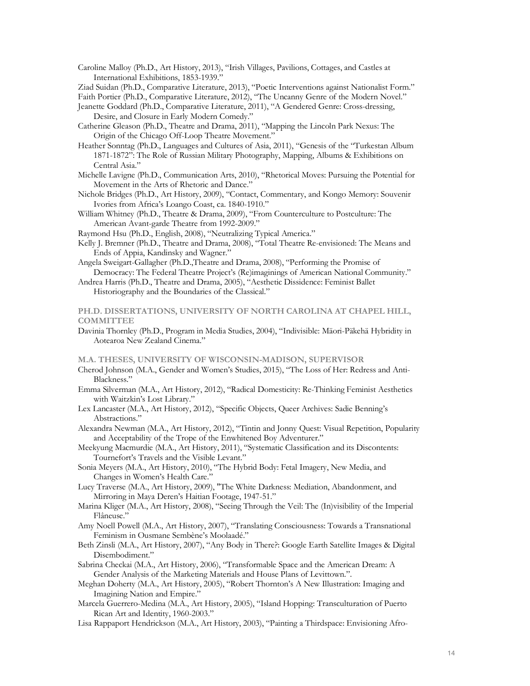- Caroline Malloy (Ph.D., Art History, 2013), "Irish Villages, Pavilions, Cottages, and Castles at International Exhibitions, 1853-1939."
- Ziad Suidan (Ph.D., Comparative Literature, 2013), "Poetic Interventions against Nationalist Form."

Faith Portier (Ph.D., Comparative Literature, 2012), "The Uncanny Genre of the Modern Novel."

- Jeanette Goddard (Ph.D., Comparative Literature, 2011), "A Gendered Genre: Cross-dressing, Desire, and Closure in Early Modern Comedy."
- Catherine Gleason (Ph.D., Theatre and Drama, 2011), "Mapping the Lincoln Park Nexus: The Origin of the Chicago Off-Loop Theatre Movement."
- Heather Sonntag (Ph.D., Languages and Cultures of Asia, 2011), "Genesis of the "Turkestan Album 1871-1872": The Role of Russian Military Photography, Mapping, Albums & Exhibitions on Central Asia."
- Michelle Lavigne (Ph.D., Communication Arts, 2010), "Rhetorical Moves: Pursuing the Potential for Movement in the Arts of Rhetoric and Dance."
- Nichole Bridges (Ph.D., Art History, 2009), "Contact, Commentary, and Kongo Memory: Souvenir Ivories from Africa's Loango Coast, ca. 1840-1910."
- William Whitney (Ph.D., Theatre & Drama, 2009), "From Counterculture to Postculture: The American Avant-garde Theatre from 1992-2009."
- Raymond Hsu (Ph.D., English, 2008), "Neutralizing Typical America."
- Kelly J. Bremner (Ph.D., Theatre and Drama, 2008), "Total Theatre Re-envisioned: The Means and Ends of Appia, Kandinsky and Wagner."
- Angela Sweigart-Gallagher (Ph.D.,Theatre and Drama, 2008), "Performing the Promise of Democracy: The Federal Theatre Project's (Re)imaginings of American National Community."
- Andrea Harris (Ph.D., Theatre and Drama, 2005), "Aesthetic Dissidence: Feminist Ballet
	- Historiography and the Boundaries of the Classical."

## **PH.D. DISSERTATIONS, UNIVERSITY OF NORTH CAROLINA AT CHAPEL HILL, COMMITTEE**

Davinia Thornley (Ph.D., Program in Media Studies, 2004), "Indivisible: Mäori-Päkehä Hybridity in Aotearoa New Zealand Cinema."

**M.A. THESES, UNIVERSITY OF WISCONSIN-MADISON, SUPERVISOR**

- Cherod Johnson (M.A., Gender and Women's Studies, 2015), "The Loss of Her: Redress and Anti-Blackness."
- Emma Silverman (M.A., Art History, 2012), "Radical Domesticity: Re-Thinking Feminist Aesthetics with Waitzkin's Lost Library."
- Lex Lancaster (M.A., Art History, 2012), "Specific Objects, Queer Archives: Sadie Benning's Abstractions."
- Alexandra Newman (M.A., Art History, 2012), "Tintin and Jonny Quest: Visual Repetition, Popularity and Acceptability of the Trope of the Enwhitened Boy Adventurer."
- Meekyung Macmurdie (M.A., Art History, 2011), "Systematic Classification and its Discontents: Tournefort's Travels and the Visible Levant."
- Sonia Meyers (M.A., Art History, 2010), "The Hybrid Body: Fetal Imagery, New Media, and Changes in Women's Health Care."
- Lucy Traverse (M.A., Art History, 2009), "The White Darkness: Mediation, Abandonment, and Mirroring in Maya Deren's Haitian Footage, 1947-51."
- Marina Kliger (M.A., Art History, 2008), "Seeing Through the Veil: The (In)visibility of the Imperial Flâneuse."
- Amy Noell Powell (M.A., Art History, 2007), "Translating Consciousness: Towards a Transnational Feminism in Ousmane Sembène's Moolaadé."
- Beth Zinsli (M.A., Art History, 2007), "Any Body in There?: Google Earth Satellite Images & Digital Disembodiment."
- Sabrina Checkai (M.A., Art History, 2006), "Transformable Space and the American Dream: A Gender Analysis of the Marketing Materials and House Plans of Levittown.".
- Meghan Doherty (M.A., Art History, 2005), "Robert Thornton's A New Illustration: Imaging and Imagining Nation and Empire."
- Marcela Guerrero-Medina (M.A., Art History, 2005), "Island Hopping: Transculturation of Puerto Rican Art and Identity, 1960-2003."
- Lisa Rappaport Hendrickson (M.A., Art History, 2003), "Painting a Thirdspace: Envisioning Afro-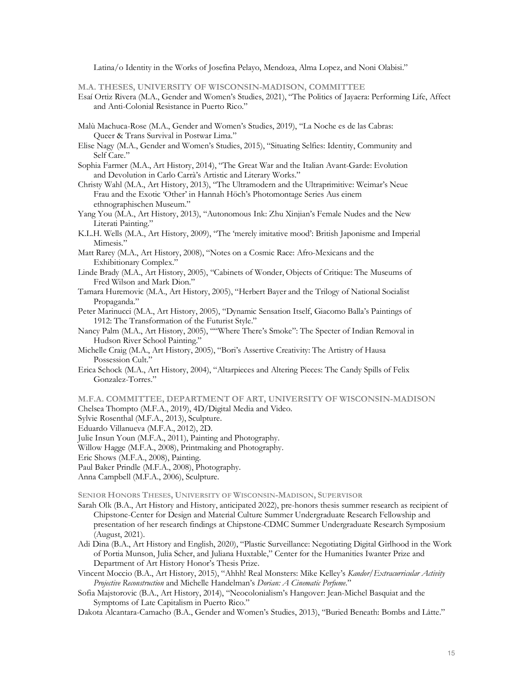Latina/o Identity in the Works of Josefina Pelayo, Mendoza, Alma Lopez, and Noni Olabisi."

**M.A. THESES, UNIVERSITY OF WISCONSIN-MADISON, COMMITTEE**

- Esaí Ortiz Rivera (M.A., Gender and Women's Studies, 2021), "The Politics of Jayaera: Performing Life, Affect and Anti-Colonial Resistance in Puerto Rico."
- Malù Machuca-Rose (M.A., Gender and Women's Studies, 2019), "La Noche es de las Cabras: Queer & Trans Survival in Postwar Lima."
- Elise Nagy (M.A., Gender and Women's Studies, 2015), "Situating Selfies: Identity, Community and Self Care."
- Sophia Farmer (M.A., Art History, 2014), "The Great War and the Italian Avant-Garde: Evolution and Devolution in Carlo Carrà's Artistic and Literary Works."
- Christy Wahl (M.A., Art History, 2013), "The Ultramodern and the Ultraprimitive: Weimar's Neue Frau and the Exotic 'Other' in Hannah Höch's Photomontage Series Aus einem ethnographischen Museum."
- Yang You (M.A., Art History, 2013), "Autonomous Ink: Zhu Xinjian's Female Nudes and the New Literati Painting."
- K.L.H. Wells (M.A., Art History, 2009), "The 'merely imitative mood': British Japonisme and Imperial Mimesis."
- Matt Rarey (M.A., Art History, 2008), "Notes on a Cosmic Race: Afro-Mexicans and the Exhibitionary Complex."
- Linde Brady (M.A., Art History, 2005), "Cabinets of Wonder, Objects of Critique: The Museums of Fred Wilson and Mark Dion."
- Tamara Huremovic (M.A., Art History, 2005), "Herbert Bayer and the Trilogy of National Socialist Propaganda."
- Peter Marinucci (M.A., Art History, 2005), "Dynamic Sensation Itself, Giacomo Balla's Paintings of 1912: The Transformation of the Futurist Style."
- Nancy Palm (M.A., Art History, 2005), ""Where There's Smoke": The Specter of Indian Removal in Hudson River School Painting."
- Michelle Craig (M.A., Art History, 2005), "Bori's Assertive Creativity: The Artistry of Hausa Possession Cult."
- Erica Schock (M.A., Art History, 2004), "Altarpieces and Altering Pieces: The Candy Spills of Felix Gonzalez-Torres."
- **M.F.A. COMMITTEE, DEPARTMENT OF ART, UNIVERSITY OF WISCONSIN-MADISON**

Chelsea Thompto (M.F.A., 2019), 4D/Digital Media and Video.

- Sylvie Rosenthal (M.F.A., 2013), Sculpture.
- Eduardo Villanueva (M.F.A., 2012), 2D.
- Julie Insun Youn (M.F.A., 2011), Painting and Photography.
- Willow Hagge (M.F.A., 2008), Printmaking and Photography.
- Eric Shows (M.F.A., 2008), Painting.

Paul Baker Prindle (M.F.A., 2008), Photography.

Anna Campbell (M.F.A., 2006), Sculpture.

**SENIOR HONORS THESES, UNIVERSITY OF WISCONSIN-MADISON, SUPERVISOR**

- Sarah Olk (B.A., Art History and History, anticipated 2022), pre-honors thesis summer research as recipient of Chipstone-Center for Design and Material Culture Summer Undergraduate Research Fellowship and presentation of her research findings at Chipstone-CDMC Summer Undergraduate Research Symposium (August, 2021).
- Adi Dina (B.A., Art History and English, 2020), "Plastic Surveillance: Negotiating Digital Girlhood in the Work of Portia Munson, Julia Scher, and Juliana Huxtable," Center for the Humanities Iwanter Prize and Department of Art History Honor's Thesis Prize.
- Vincent Moccio (B.A., Art History, 2015), "Ahhh! Real Monsters: Mike Kelley's *Kandor/Extracurricular Activity Projective Reconstruction* and Michelle Handelman's *Dorian: A Cinematic Perfume*."
- Sofia Majstorovic (B.A., Art History, 2014), "Neocolonialism's Hangover: Jean-Michel Basquiat and the Symptoms of Late Capitalism in Puerto Rico."
- Dakota Alcantara-Camacho (B.A., Gender and Women's Studies, 2013), "Buried Beneath: Bombs and Låtte."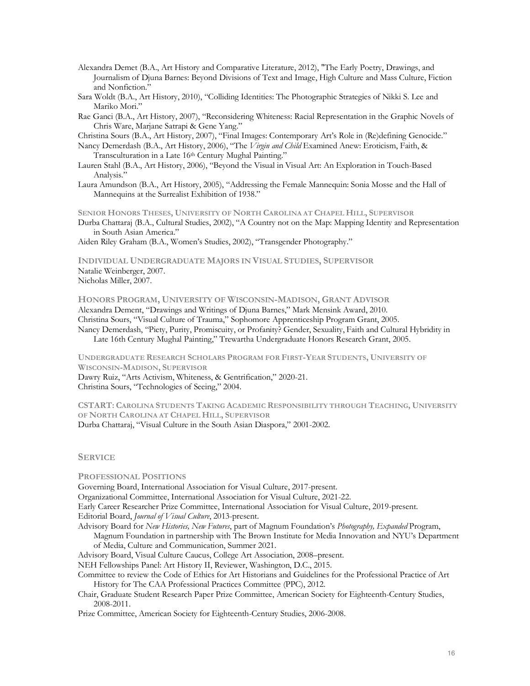- Alexandra Demet (B.A., Art History and Comparative Literature, 2012), "The Early Poetry, Drawings, and Journalism of Djuna Barnes: Beyond Divisions of Text and Image, High Culture and Mass Culture, Fiction and Nonfiction."
- Sara Woldt (B.A., Art History, 2010), "Colliding Identities: The Photographic Strategies of Nikki S. Lee and Mariko Mori."
- Rae Ganci (B.A., Art History, 2007), "Reconsidering Whiteness: Racial Representation in the Graphic Novels of Chris Ware, Marjane Satrapi & Gene Yang."

Christina Sours (B.A., Art History, 2007), "Final Images: Contemporary Art's Role in (Re)defining Genocide."

- Nancy Demerdash (B.A., Art History, 2006), "The *Virgin and Child* Examined Anew: Eroticism, Faith, & Transculturation in a Late 16<sup>th</sup> Century Mughal Painting."
- Lauren Stahl (B.A., Art History, 2006), "Beyond the Visual in Visual Art: An Exploration in Touch-Based Analysis."
- Laura Amundson (B.A., Art History, 2005), "Addressing the Female Mannequin: Sonia Mosse and the Hall of Mannequins at the Surrealist Exhibition of 1938."

**SENIOR HONORS THESES, UNIVERSITY OF NORTH CAROLINA AT CHAPEL HILL, SUPERVISOR**

Durba Chattaraj (B.A., Cultural Studies, 2002), "A Country not on the Map: Mapping Identity and Representation in South Asian America."

Aiden Riley Graham (B.A., Women's Studies, 2002), "Transgender Photography."

**INDIVIDUAL UNDERGRADUATE MAJORS IN VISUAL STUDIES, SUPERVISOR** Natalie Weinberger, 2007.

Nicholas Miller, 2007.

**HONORS PROGRAM, UNIVERSITY OF WISCONSIN-MADISON, GRANT ADVISOR**

Alexandra Dement, "Drawings and Writings of Djuna Barnes," Mark Mensink Award, 2010.

Christina Sours, "Visual Culture of Trauma," Sophomore Apprenticeship Program Grant, 2005.

Nancy Demerdash, "Piety, Purity, Promiscuity, or Profanity? Gender, Sexuality, Faith and Cultural Hybridity in Late 16th Century Mughal Painting," Trewartha Undergraduate Honors Research Grant, 2005.

**UNDERGRADUATE RESEARCH SCHOLARS PROGRAM FOR FIRST-YEAR STUDENTS, UNIVERSITY OF WISCONSIN-MADISON, SUPERVISOR**

Dawry Ruiz, "Arts Activism, Whiteness, & Gentrification," 2020-21.

Christina Sours, "Technologies of Seeing," 2004.

**CSTART: CAROLINA STUDENTS TAKING ACADEMIC RESPONSIBILITY THROUGH TEACHING, UNIVERSITY OF NORTH CAROLINA AT CHAPEL HILL, SUPERVISOR** Durba Chattaraj, "Visual Culture in the South Asian Diaspora," 2001-2002.

### **SERVICE**

**PROFESSIONAL POSITIONS**

Governing Board, International Association for Visual Culture, 2017-present.

Organizational Committee, International Association for Visual Culture, 2021-22.

Early Career Researcher Prize Committee, International Association for Visual Culture, 2019-present.

Editorial Board, *Journal of Visual Culture*, 2013-present.

- Advisory Board for *New Histories, New Futures*, part of Magnum Foundation's *Photography, Expanded* Program, Magnum Foundation in partnership with The Brown Institute for Media Innovation and NYU's Department
- of Media, Culture and Communication, Summer 2021.
- Advisory Board, Visual Culture Caucus, College Art Association, 2008–present.
- NEH Fellowships Panel: Art History II, Reviewer, Washington, D.C., 2015.

Committee to review the Code of Ethics for Art Historians and Guidelines for the Professional Practice of Art History for The CAA Professional Practices Committee (PPC), 2012.

Chair, Graduate Student Research Paper Prize Committee, American Society for Eighteenth-Century Studies, 2008-2011.

Prize Committee, American Society for Eighteenth-Century Studies, 2006-2008.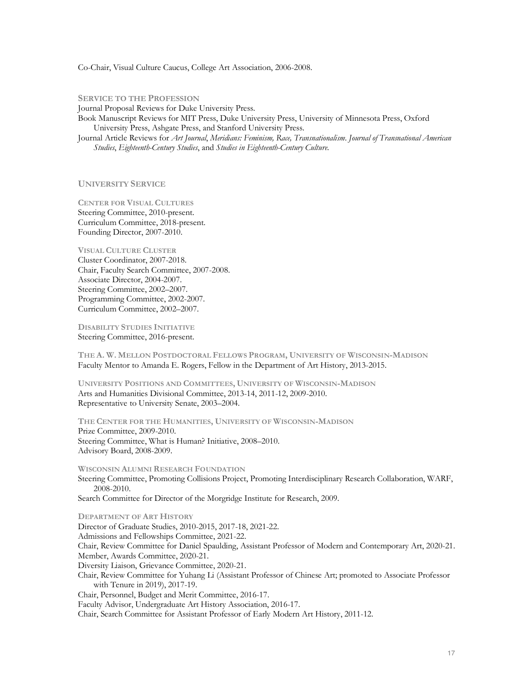Co-Chair, Visual Culture Caucus, College Art Association, 2006-2008.

**SERVICE TO THE PROFESSION** Journal Proposal Reviews for Duke University Press. Book Manuscript Reviews for MIT Press, Duke University Press, University of Minnesota Press, Oxford University Press, Ashgate Press, and Stanford University Press. Journal Article Reviews for *Art Journal*, *Meridians: Feminism, Race, Transnationalism*. *Journal of Transnational American Studies*, *Eighteenth-Century Studies*, and *Studies in Eighteenth-Century Culture*.

**UNIVERSITY SERVICE**

**CENTER FOR VISUAL CULTURES** Steering Committee, 2010-present. Curriculum Committee, 2018-present. Founding Director, 2007-2010.

**VISUAL CULTURE CLUSTER** Cluster Coordinator, 2007-2018. Chair, Faculty Search Committee, 2007-2008. Associate Director, 2004-2007. Steering Committee, 2002–2007. Programming Committee, 2002-2007. Curriculum Committee, 2002–2007.

**DISABILITY STUDIES INITIATIVE** Steering Committee, 2016-present.

**THE A. W. MELLON POSTDOCTORAL FELLOWS PROGRAM, UNIVERSITY OF WISCONSIN-MADISON** Faculty Mentor to Amanda E. Rogers, Fellow in the Department of Art History, 2013-2015.

**UNIVERSITY POSITIONS AND COMMITTEES, UNIVERSITY OF WISCONSIN-MADISON** Arts and Humanities Divisional Committee, 2013-14, 2011-12, 2009-2010. Representative to University Senate, 2003–2004.

**THE CENTER FOR THE HUMANITIES, UNIVERSITY OF WISCONSIN-MADISON** Prize Committee, 2009-2010. Steering Committee, What is Human? Initiative, 2008–2010. Advisory Board, 2008-2009.

**WISCONSIN ALUMNI RESEARCH FOUNDATION** Steering Committee, Promoting Collisions Project, Promoting Interdisciplinary Research Collaboration, WARF, 2008-2010.

Search Committee for Director of the Morgridge Institute for Research, 2009.

**DEPARTMENT OF ART HISTORY** Director of Graduate Studies, 2010-2015, 2017-18, 2021-22. Admissions and Fellowships Committee, 2021-22. Chair, Review Committee for Daniel Spaulding, Assistant Professor of Modern and Contemporary Art, 2020-21. Member, Awards Committee, 2020-21. Diversity Liaison, Grievance Committee, 2020-21. Chair, Review Committee for Yuhang Li (Assistant Professor of Chinese Art; promoted to Associate Professor with Tenure in 2019), 2017-19. Chair, Personnel, Budget and Merit Committee, 2016-17. Faculty Advisor, Undergraduate Art History Association, 2016-17. Chair, Search Committee for Assistant Professor of Early Modern Art History, 2011-12.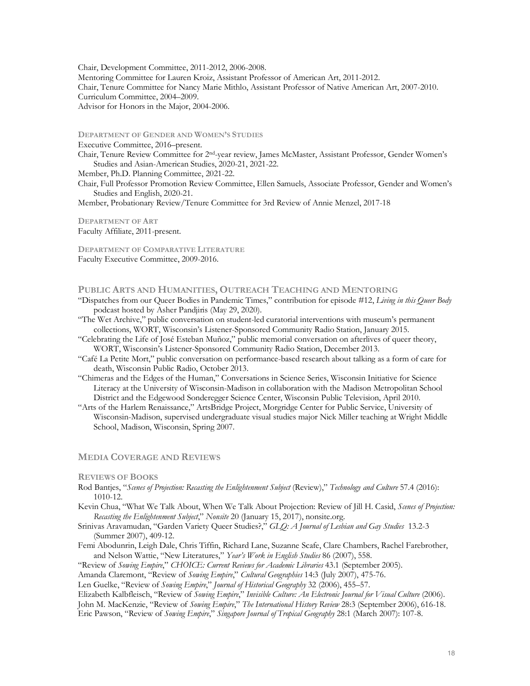Chair, Development Committee, 2011-2012, 2006-2008. Mentoring Committee for Lauren Kroiz, Assistant Professor of American Art, 2011-2012. Chair, Tenure Committee for Nancy Marie Mithlo, Assistant Professor of Native American Art, 2007-2010. Curriculum Committee, 2004–2009. Advisor for Honors in the Major, 2004-2006.

**DEPARTMENT OF GENDER AND WOMEN'S STUDIES**

Executive Committee, 2016–present.

Chair, Tenure Review Committee for 2nd-year review, James McMaster, Assistant Professor, Gender Women's Studies and Asian-American Studies, 2020-21, 2021-22.

Member, Ph.D. Planning Committee, 2021-22.

Chair, Full Professor Promotion Review Committee, Ellen Samuels, Associate Professor, Gender and Women's Studies and English, 2020-21.

Member, Probationary Review/Tenure Committee for 3rd Review of Annie Menzel, 2017-18

**DEPARTMENT OF ART** Faculty Affiliate, 2011-present.

**DEPARTMENT OF COMPARATIVE LITERATURE** Faculty Executive Committee, 2009-2016.

# **PUBLIC ARTS AND HUMANITIES, OUTREACH TEACHING AND MENTORING**

"Dispatches from our Queer Bodies in Pandemic Times," contribution for episode #12, *Living in this Queer Body* podcast hosted by Asher Pandjiris (May 29, 2020).

"The Wet Archive," public conversation on student-led curatorial interventions with museum's permanent collections, WORT, Wisconsin's Listener-Sponsored Community Radio Station, January 2015.

"Celebrating the Life of José Esteban Muñoz," public memorial conversation on afterlives of queer theory, WORT, Wisconsin's Listener-Sponsored Community Radio Station, December 2013.

"Café La Petite Mort," public conversation on performance-based research about talking as a form of care for death, Wisconsin Public Radio, October 2013.

"Chimeras and the Edges of the Human," Conversations in Science Series, Wisconsin Initiative for Science Literacy at the University of Wisconsin-Madison in collaboration with the Madison Metropolitan School District and the Edgewood Sonderegger Science Center, Wisconsin Public Television, April 2010.

"Arts of the Harlem Renaissance," ArtsBridge Project, Morgridge Center for Public Service, University of Wisconsin-Madison, supervised undergraduate visual studies major Nick Miller teaching at Wright Middle School, Madison, Wisconsin, Spring 2007.

## **MEDIA COVERAGE AND REVIEWS**

#### **REVIEWS OF BOOKS**

- Rod Bantjes, "*Scenes of Projection: Recasting the Enlightenment Subject* (Review)," *Technology and Culture* 57.4 (2016): 1010-12.
- Kevin Chua, "What We Talk About, When We Talk About Projection: Review of Jill H. Casid, *Scenes of Projection: Recasting the Enlightenment Subject*," *Nonsite* 20 (January 15, 2017), nonsite.org.

Srinivas Aravamudan, "Garden Variety Queer Studies?," *GLQ: A Journal of Lesbian and Gay Studies* 13.2-3 (Summer 2007), 409-12.

Femi Abodunrin, Leigh Dale, Chris Tiffin, Richard Lane, Suzanne Scafe, Clare Chambers, Rachel Farebrother, and Nelson Wattie, "New Literatures," *Year's Work in English Studies* 86 (2007), 558.

"Review of *Sowing Empire*," *CHOICE: Current Reviews for Academic Libraries* 43.1 (September 2005).

Amanda Claremont, "Review of *Sowing Empire*," *Cultural Geographies* 14:3 (July 2007), 475-76.

Len Guelke, "Review of *Sowing Empire*," *Journal of Historical Geography* 32 (2006), 455–57.

Elizabeth Kalbfleisch, "Review of *Sowing Empire*," *Invisible Culture: An Electronic Journal for Visual Culture* (2006).

John M. MacKenzie, "Review of *Sowing Empire*," *The International History Review* 28:3 (September 2006), 616-18.

Eric Pawson, "Review of *Sowing Empire*," *Singapore Journal of Tropical Geography* 28:1 (March 2007): 107-8.